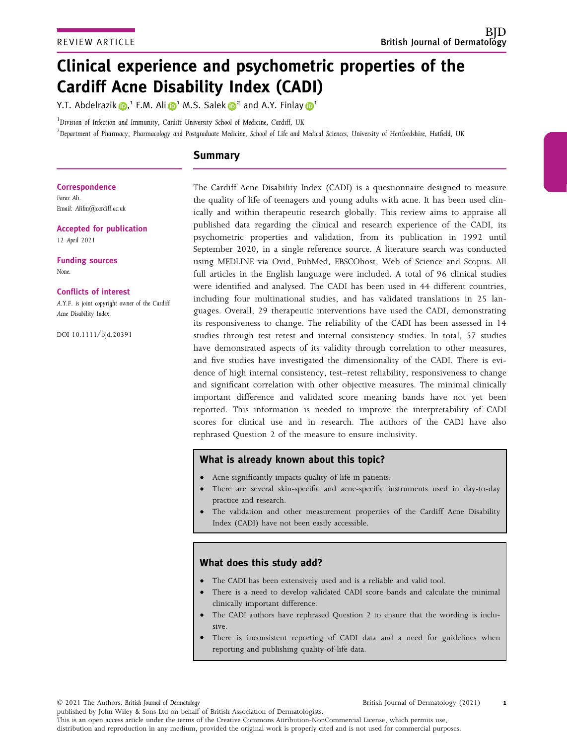# Clinical experience and psychometric properties of the Cardiff Acne Disability Index (CADI)

Y.T. Abdelrazik  $\mathbf{D},^1$  F.M. Ali  $\mathbf{D}^1$  M.S. Salek  $\mathbf{D}^2$  and A.Y. Finla[y](https://orcid.org/0000-0003-2143-1646)  $\mathbf{D}^1$ 

<sup>1</sup>Division of Infection and Immunity, Cardiff University School of Medicine, Cardiff, UK

 $^2$ Department of Pharmacy, Pharmacology and Postgraduate Medicine, School of Life and Medical Sciences, University of Hertfordshire, Hatfield, UK

# Summary

Correspondence Faraz Ali. Email: [Alifm@cardiff.ac.uk](mailto:)

Accepted for publication

12 April 2021

Funding sources None.

## Conflicts of interest

A.Y.F. is joint copyright owner of the Cardiff Acne Disability Index.

DOI 10.1111/bjd.20391

The Cardiff Acne Disability Index (CADI) is a questionnaire designed to measure the quality of life of teenagers and young adults with acne. It has been used clinically and within therapeutic research globally. This review aims to appraise all published data regarding the clinical and research experience of the CADI, its psychometric properties and validation, from its publication in 1992 until September 2020, in a single reference source. A literature search was conducted using MEDLINE via Ovid, PubMed, EBSCOhost, Web of Science and Scopus. All full articles in the English language were included. A total of 96 clinical studies were identified and analysed. The CADI has been used in 44 different countries, including four multinational studies, and has validated translations in 25 languages. Overall, 29 therapeutic interventions have used the CADI, demonstrating its responsiveness to change. The reliability of the CADI has been assessed in 14 studies through test–retest and internal consistency studies. In total, 57 studies have demonstrated aspects of its validity through correlation to other measures, and five studies have investigated the dimensionality of the CADI. There is evidence of high internal consistency, test–retest reliability, responsiveness to change and significant correlation with other objective measures. The minimal clinically important difference and validated score meaning bands have not yet been reported. This information is needed to improve the interpretability of CADI scores for clinical use and in research. The authors of the CADI have also rephrased Question 2 of the measure to ensure inclusivity.

## What is already known about this topic?

- Acne significantly impacts quality of life in patients.
- There are several skin-specific and acne-specific instruments used in day-to-day practice and research.
- The validation and other measurement properties of the Cardiff Acne Disability Index (CADI) have not been easily accessible.

# What does this study add?

- The CADI has been extensively used and is a reliable and valid tool.
- There is a need to develop validated CADI score bands and calculate the minimal clinically important difference.
- The CADI authors have rephrased Question 2 to ensure that the wording is inclusive.
- There is inconsistent reporting of CADI data and a need for guidelines when reporting and publishing quality-of-life data.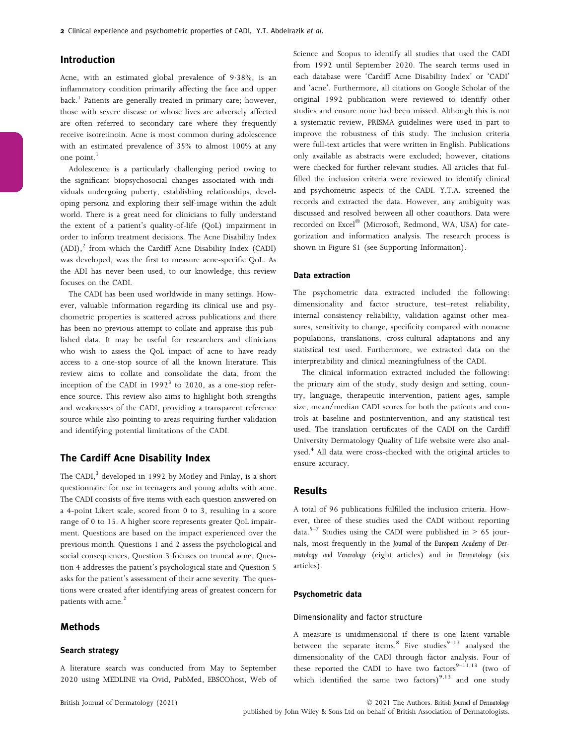## Introduction

Acne, with an estimated global prevalence of 938%, is an inflammatory condition primarily affecting the face and upper  $back<sup>1</sup>$  Patients are generally treated in primary care; however, those with severe disease or whose lives are adversely affected are often referred to secondary care where they frequently receive isotretinoin. Acne is most common during adolescence with an estimated prevalence of 35% to almost 100% at any one point. $<sup>1</sup>$ </sup>

Adolescence is a particularly challenging period owing to the significant biopsychosocial changes associated with individuals undergoing puberty, establishing relationships, developing persona and exploring their self-image within the adult world. There is a great need for clinicians to fully understand the extent of a patient's quality-of-life (QoL) impairment in order to inform treatment decisions. The Acne Disability Index  $(ADI)$ ,<sup>2</sup> from which the Cardiff Acne Disability Index (CADI) was developed, was the first to measure acne-specific QoL. As the ADI has never been used, to our knowledge, this review focuses on the CADI.

The CADI has been used worldwide in many settings. However, valuable information regarding its clinical use and psychometric properties is scattered across publications and there has been no previous attempt to collate and appraise this published data. It may be useful for researchers and clinicians who wish to assess the QoL impact of acne to have ready access to a one-stop source of all the known literature. This review aims to collate and consolidate the data, from the inception of the CADI in  $1992<sup>3</sup>$  to 2020, as a one-stop reference source. This review also aims to highlight both strengths and weaknesses of the CADI, providing a transparent reference source while also pointing to areas requiring further validation and identifying potential limitations of the CADI.

## The Cardiff Acne Disability Index

The CADI, $3$  developed in 1992 by Motley and Finlay, is a short questionnaire for use in teenagers and young adults with acne. The CADI consists of five items with each question answered on a 4-point Likert scale, scored from 0 to 3, resulting in a score range of 0 to 15. A higher score represents greater QoL impairment. Questions are based on the impact experienced over the previous month. Questions 1 and 2 assess the psychological and social consequences, Question 3 focuses on truncal acne, Question 4 addresses the patient's psychological state and Question 5 asks for the patient's assessment of their acne severity. The questions were created after identifying areas of greatest concern for patients with acne.<sup>2</sup>

## Methods

### Search strategy

A literature search was conducted from May to September 2020 using MEDLINE via Ovid, PubMed, EBSCOhost, Web of Science and Scopus to identify all studies that used the CADI from 1992 until September 2020. The search terms used in each database were 'Cardiff Acne Disability Index' or 'CADI' and 'acne'. Furthermore, all citations on Google Scholar of the original 1992 publication were reviewed to identify other studies and ensure none had been missed. Although this is not a systematic review, PRISMA guidelines were used in part to improve the robustness of this study. The inclusion criteria were full-text articles that were written in English. Publications only available as abstracts were excluded; however, citations were checked for further relevant studies. All articles that fulfilled the inclusion criteria were reviewed to identify clinical and psychometric aspects of the CADI. Y.T.A. screened the records and extracted the data. However, any ambiguity was discussed and resolved between all other coauthors. Data were recorded on Excel® (Microsoft, Redmond, WA, USA) for categorization and information analysis. The research process is shown in Figure S1 (see Supporting Information).

#### Data extraction

The psychometric data extracted included the following: dimensionality and factor structure, test–retest reliability, internal consistency reliability, validation against other measures, sensitivity to change, specificity compared with nonacne populations, translations, cross-cultural adaptations and any statistical test used. Furthermore, we extracted data on the interpretability and clinical meaningfulness of the CADI.

The clinical information extracted included the following: the primary aim of the study, study design and setting, country, language, therapeutic intervention, patient ages, sample size, mean/median CADI scores for both the patients and controls at baseline and postintervention, and any statistical test used. The translation certificates of the CADI on the Cardiff University Dermatology Quality of Life website were also analysed.<sup>4</sup> All data were cross-checked with the original articles to ensure accuracy.

## Results

A total of 96 publications fulfilled the inclusion criteria. However, three of these studies used the CADI without reporting data.<sup>5–7</sup> Studies using the CADI were published in  $> 65$  journals, most frequently in the Journal of the European Academy of Dermatology and Venerology (eight articles) and in Dermatology (six articles).

#### Psychometric data

#### Dimensionality and factor structure

A measure is unidimensional if there is one latent variable between the separate items.<sup>8</sup> Five studies $9-13$  analysed the dimensionality of the CADI through factor analysis. Four of these reported the CADI to have two factors $9-11,13$  (two of which identified the same two factors)<sup>9,13</sup> and one study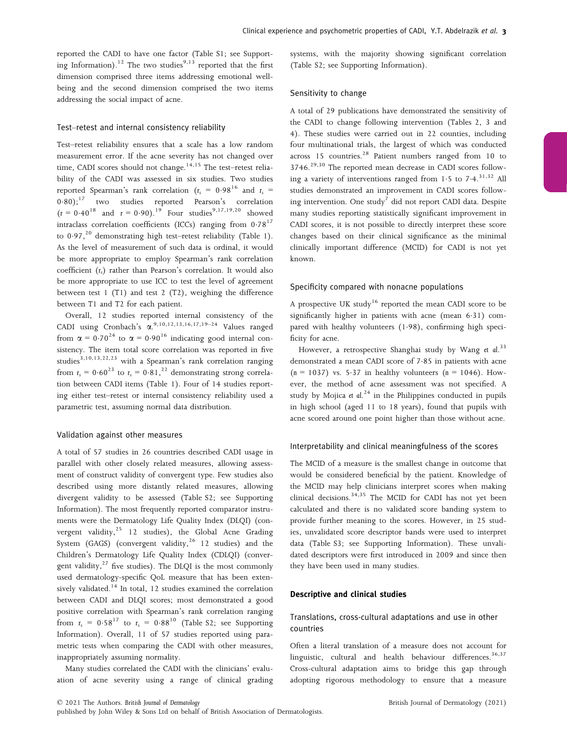reported the CADI to have one factor (Table S1; see Supporting Information).<sup>12</sup> The two studies<sup>9,13</sup> reported that the first dimension comprised three items addressing emotional wellbeing and the second dimension comprised the two items addressing the social impact of acne.

## Test–retest and internal consistency reliability

Test–retest reliability ensures that a scale has a low random measurement error. If the acne severity has not changed over time, CADI scores should not change.<sup>14,15</sup> The test–retest reliability of the CADI was assessed in six studies. Two studies reported Spearman's rank correlation ( $r_s = 0.98^{16}$  and  $r_s =$ 0.80);<sup>17</sup> two studies reported Pearson's correlation  $(r = 0.40^{18} \text{ and } r = 0.90).$ <sup>19</sup> Four studies<sup>9,17,19,20</sup> showed intraclass correlation coefficients (ICCs) ranging from  $0.78^{17}$ to  $0.97$ ,<sup>20</sup> demonstrating high test–retest reliability (Table 1). As the level of measurement of such data is ordinal, it would be more appropriate to employ Spearman's rank correlation coefficient  $(r<sub>s</sub>)$  rather than Pearson's correlation. It would also be more appropriate to use ICC to test the level of agreement between test 1 (T1) and test 2 (T2), weighing the difference between T1 and T2 for each patient.

Overall, 12 studies reported internal consistency of the CADI using Cronbach's  $\alpha$ .<sup>9,10,12,13,16,17,19-24</sup> Values ranged from  $\alpha = 0.70^{24}$  to  $\alpha = 0.90^{16}$  indicating good internal consistency. The item total score correlation was reported in five studies<sup>3,10,13,22,23</sup> with a Spearman's rank correlation ranging from  $r_s = 0.60^{23}$  to  $r_s = 0.81$ ,  $^{22}$  demonstrating strong correlation between CADI items (Table 1). Four of 14 studies reporting either test–retest or internal consistency reliability used a parametric test, assuming normal data distribution.

## Validation against other measures

A total of 57 studies in 26 countries described CADI usage in parallel with other closely related measures, allowing assessment of construct validity of convergent type. Few studies also described using more distantly related measures, allowing divergent validity to be assessed (Table S2; see Supporting Information). The most frequently reported comparator instruments were the Dermatology Life Quality Index (DLQI) (convergent validity,<sup>25</sup> 12 studies), the Global Acne Grading System (GAGS) (convergent validity,  $26$  12 studies) and the Children's Dermatology Life Quality Index (CDLQI) (convergent validity, $^{27}$  five studies). The DLQI is the most commonly used dermatology-specific QoL measure that has been extensively validated.<sup>14</sup> In total, 12 studies examined the correlation between CADI and DLQI scores; most demonstrated a good positive correlation with Spearman's rank correlation ranging from  $r_s = 0.58^{17}$  to  $r_s = 0.88^{10}$  (Table S2; see Supporting Information). Overall, 11 of 57 studies reported using parametric tests when comparing the CADI with other measures, inappropriately assuming normality.

Many studies correlated the CADI with the clinicians' evaluation of acne severity using a range of clinical grading systems, with the majority showing significant correlation (Table S2; see Supporting Information).

#### Sensitivity to change

A total of 29 publications have demonstrated the sensitivity of the CADI to change following intervention (Tables 2, 3 and 4). These studies were carried out in 22 counties, including four multinational trials, the largest of which was conducted across  $15$  countries.<sup>28</sup> Patient numbers ranged from  $10$  to  $3746.<sup>29,30</sup>$  The reported mean decrease in CADI scores following a variety of interventions ranged from 1.5 to  $7.4$ ,  $31.32$  All studies demonstrated an improvement in CADI scores following intervention. One study<sup>7</sup> did not report CADI data. Despite many studies reporting statistically significant improvement in CADI scores, it is not possible to directly interpret these score changes based on their clinical significance as the minimal clinically important difference (MCID) for CADI is not yet known.

#### Specificity compared with nonacne populations

A prospective UK study<sup>16</sup> reported the mean CADI score to be significantly higher in patients with acne (mean 631) compared with healthy volunteers (1.98), confirming high specificity for acne.

However, a retrospective Shanghai study by Wang et al.<sup>33</sup> demonstrated a mean CADI score of 7.85 in patients with acne  $(n = 1037)$  vs. 5.37 in healthy volunteers  $(n = 1046)$ . However, the method of acne assessment was not specified. A study by Mojica et al.<sup>24</sup> in the Philippines conducted in pupils in high school (aged 11 to 18 years), found that pupils with acne scored around one point higher than those without acne.

#### Interpretability and clinical meaningfulness of the scores

The MCID of a measure is the smallest change in outcome that would be considered beneficial by the patient. Knowledge of the MCID may help clinicians interpret scores when making clinical decisions.<sup>34,35</sup> The MCID for CADI has not yet been calculated and there is no validated score banding system to provide further meaning to the scores. However, in 25 studies, unvalidated score descriptor bands were used to interpret data (Table S3; see Supporting Information). These unvalidated descriptors were first introduced in 2009 and since then they have been used in many studies.

## Descriptive and clinical studies

## Translations, cross-cultural adaptations and use in other countries

Often a literal translation of a measure does not account for linguistic, cultural and health behaviour differences.<sup>36,37</sup> Cross-cultural adaptation aims to bridge this gap through adopting rigorous methodology to ensure that a measure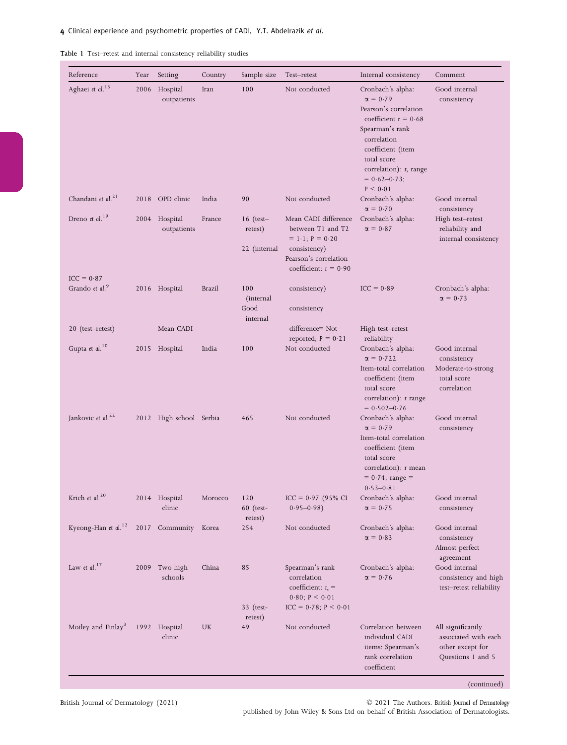Table 1 Test–retest and internal consistency reliability studies

| Reference                                  | Year | Setting                      | Country       | Sample size                            | Test-retest                                                                                                                        | Internal consistency                                                                                                                                                                                                       | Comment                                                                            |
|--------------------------------------------|------|------------------------------|---------------|----------------------------------------|------------------------------------------------------------------------------------------------------------------------------------|----------------------------------------------------------------------------------------------------------------------------------------------------------------------------------------------------------------------------|------------------------------------------------------------------------------------|
| Aghaei et al. <sup>13</sup>                |      | 2006 Hospital<br>outpatients | Iran          | 100                                    | Not conducted                                                                                                                      | Cronbach's alpha:<br>$\alpha = 0.79$<br>Pearson's correlation<br>coefficient $r = 0.68$<br>Spearman's rank<br>correlation<br>coefficient (item<br>total score<br>correlation): $r_s$ range<br>$= 0.62 - 0.73;$<br>P < 0.01 | Good internal<br>consistency                                                       |
| Chandani et al. <sup>21</sup>              |      | 2018 OPD clinic              | India         | 90                                     | Not conducted                                                                                                                      | Cronbach's alpha:<br>$\alpha = 0.70$                                                                                                                                                                                       | Good internal<br>consistency                                                       |
| Dreno et al. <sup>19</sup>                 |      | 2004 Hospital<br>outpatients | France        | $16$ (test-<br>retest)<br>22 (internal | Mean CADI difference<br>between T1 and T2<br>$= 1.1; P = 0.20$<br>consistency)<br>Pearson's correlation<br>coefficient: $r = 0.90$ | Cronbach's alpha:<br>$\alpha = 0.87$                                                                                                                                                                                       | High test–retest<br>reliability and<br>internal consistency                        |
| $ICC = 0.87$<br>Grando et al. <sup>9</sup> |      | 2016 Hospital                | <b>Brazil</b> | 100<br>(internal<br>Good               | consistency)<br>consistency                                                                                                        | $ICC = 0.89$                                                                                                                                                                                                               | Cronbach's alpha:<br>$\alpha = 0.73$                                               |
| 20 (test-retest)                           |      | Mean CADI                    |               | internal                               | difference= Not                                                                                                                    | High test-retest                                                                                                                                                                                                           |                                                                                    |
| Gupta et al. <sup>10</sup>                 |      | 2015 Hospital                | India         | 100                                    | reported; $P = 0.21$<br>Not conducted                                                                                              | reliability<br>Cronbach's alpha:<br>$\alpha = 0.722$<br>Item-total correlation<br>coefficient (item<br>total score<br>correlation): r range<br>$= 0.502 - 0.76$                                                            | Good internal<br>consistency<br>Moderate-to-strong<br>total score<br>correlation   |
| Jankovic et al. <sup>22</sup>              |      | 2012 High school Serbia      |               | 465                                    | Not conducted                                                                                                                      | Cronbach's alpha:<br>$\alpha = 0.79$<br>Item-total correlation<br>coefficient (item<br>total score<br>correlation): r mean<br>$= 0.74$ ; range $=$<br>$0.53 - 0.81$                                                        | Good internal<br>consistency                                                       |
| Krich et al. <sup>20</sup>                 |      | 2014 Hospital<br>clinic      | Morocco       | 120<br>60 (test-<br>retest)            | $ICC = 0.97 (95\% CI)$<br>$0.95 - 0.98$                                                                                            | Cronbach's alpha:<br>$\alpha = 0.75$                                                                                                                                                                                       | Good internal<br>consistency                                                       |
| Kyeong-Han et al. <sup>12</sup>            |      | 2017 Community Korea         |               | 254                                    | Not conducted                                                                                                                      | Cronbach's alpha:<br>$\alpha = 0.83$                                                                                                                                                                                       | Good internal<br>consistency<br>Almost perfect<br>agreement                        |
| Law et al. $17$                            | 2009 | Two high<br>schools          | China         | 85<br>33 (test-                        | Spearman's rank<br>correlation<br>coefficient: $r_s$ =<br>$0.80; P \le 0.01$<br>$ICC = 0.78; P < 0.01$                             | Cronbach's alpha:<br>$\alpha = 0.76$                                                                                                                                                                                       | Good internal<br>consistency and high<br>test-retest reliability                   |
| Motley and Finlay <sup>3</sup>             |      | 1992 Hospital<br>clinic      | UK            | retest)<br>49                          | Not conducted                                                                                                                      | Correlation between<br>individual CADI<br>items: Spearman's<br>rank correlation<br>coefficient                                                                                                                             | All significantly<br>associated with each<br>other except for<br>Questions 1 and 5 |

© 2021 The Authors. British Journal of Dermatology published by John Wiley & Sons Ltd on behalf of British Association of Dermatologists.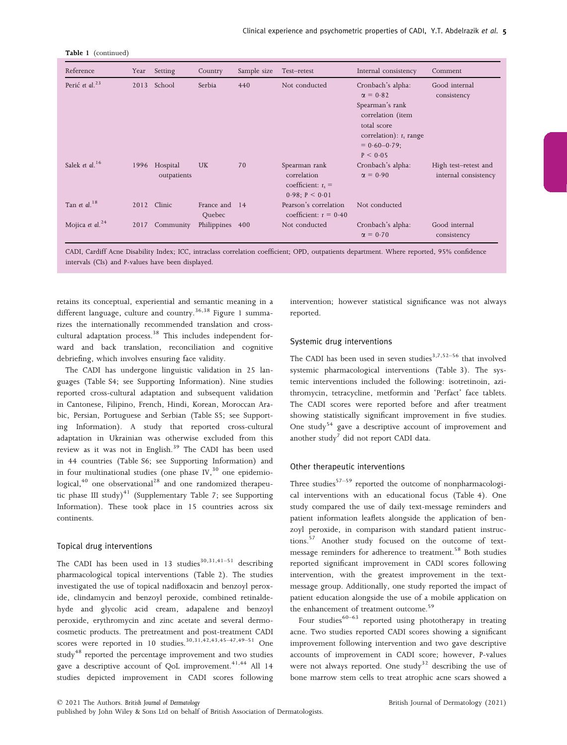| Table 1 (continued) |
|---------------------|
|                     |

| Reference                   | Year | Setting                 | Country              | Sample size | Test-retest                                                                | Internal consistency                                                                                                                                      | Comment                                      |
|-----------------------------|------|-------------------------|----------------------|-------------|----------------------------------------------------------------------------|-----------------------------------------------------------------------------------------------------------------------------------------------------------|----------------------------------------------|
| Perić et al. $^{23}$        | 2013 | School                  | Serbia               | 440         | Not conducted                                                              | Cronbach's alpha:<br>$\alpha = 0.82$<br>Spearman's rank<br>correlation (item<br>total score<br>correlation): $r_s$ range<br>$= 0.60 - 0.79$ ;<br>P < 0.05 | Good internal<br>consistency                 |
| Salek et al. <sup>16</sup>  | 1996 | Hospital<br>outpatients | UK                   | 70          | Spearman rank<br>correlation<br>coefficient: $r_s$ =<br>$0.98; P \le 0.01$ | Cronbach's alpha:<br>$\alpha = 0.90$                                                                                                                      | High test-retest and<br>internal consistency |
| Tan et al. <sup>18</sup>    |      | 2012 Clinic             | France and<br>Quebec | 14          | Pearson's correlation<br>coefficient: $r = 0.40$                           | Not conducted                                                                                                                                             |                                              |
| Mojica et al. <sup>24</sup> | 2017 | Community               | Philippines 400      |             | Not conducted                                                              | Cronbach's alpha:<br>$\alpha = 0.70$                                                                                                                      | Good internal<br>consistency                 |

CADI, Cardiff Acne Disability Index; ICC, intraclass correlation coefficient; OPD, outpatients department. Where reported, 95% confidence intervals (CIs) and P-values have been displayed.

retains its conceptual, experiential and semantic meaning in a different language, culture and country.<sup>36,38</sup> Figure 1 summarizes the internationally recommended translation and crosscultural adaptation process.<sup>38</sup> This includes independent forward and back translation, reconciliation and cognitive debriefing, which involves ensuring face validity.

The CADI has undergone linguistic validation in 25 languages (Table S4; see Supporting Information). Nine studies reported cross-cultural adaptation and subsequent validation in Cantonese, Filipino, French, Hindi, Korean, Moroccan Arabic, Persian, Portuguese and Serbian (Table S5; see Supporting Information). A study that reported cross-cultural adaptation in Ukrainian was otherwise excluded from this review as it was not in English.<sup>39</sup> The CADI has been used in 44 countries (Table S6; see Supporting Information) and in four multinational studies (one phase  $IV<sub>1</sub><sup>30</sup>$  one epidemio- $\log$ ical, $40$  one observational<sup>28</sup> and one randomized therapeutic phase III study)<sup>41</sup> (Supplementary Table 7; see Supporting Information). These took place in 15 countries across six continents.

## Topical drug interventions

The CADI has been used in 13 studies<sup>30,31,41-51</sup> describing pharmacological topical interventions (Table 2). The studies investigated the use of topical nadifloxacin and benzoyl peroxide, clindamycin and benzoyl peroxide, combined retinaldehyde and glycolic acid cream, adapalene and benzoyl peroxide, erythromycin and zinc acetate and several dermocosmetic products. The pretreatment and post-treatment CADI scores were reported in 10 studies.<sup>30,31,42,43,45–47,49–51</sup> One study<sup>48</sup> reported the percentage improvement and two studies gave a descriptive account of QoL improvement.<sup>41,44</sup> All 14 studies depicted improvement in CADI scores following intervention; however statistical significance was not always reported.

## Systemic drug interventions

The CADI has been used in seven studies<sup>3,7,52–56</sup> that involved systemic pharmacological interventions (Table 3). The systemic interventions included the following: isotretinoin, azithromycin, tetracycline, metformin and 'Perfact' face tablets. The CADI scores were reported before and after treatment showing statistically significant improvement in five studies. One study<sup>54</sup> gave a descriptive account of improvement and another study<sup>7</sup> did not report CADI data.

#### Other therapeutic interventions

Three studies<sup>57–59</sup> reported the outcome of nonpharmacological interventions with an educational focus (Table 4). One study compared the use of daily text-message reminders and patient information leaflets alongside the application of benzoyl peroxide, in comparison with standard patient instructions.<sup>57</sup> Another study focused on the outcome of textmessage reminders for adherence to treatment.<sup>58</sup> Both studies reported significant improvement in CADI scores following intervention, with the greatest improvement in the textmessage group. Additionally, one study reported the impact of patient education alongside the use of a mobile application on the enhancement of treatment outcome.<sup>59</sup>

Four studies<sup>60–63</sup> reported using phototherapy in treating acne. Two studies reported CADI scores showing a significant improvement following intervention and two gave descriptive accounts of improvement in CADI score; however, P-values were not always reported. One study<sup>32</sup> describing the use of bone marrow stem cells to treat atrophic acne scars showed a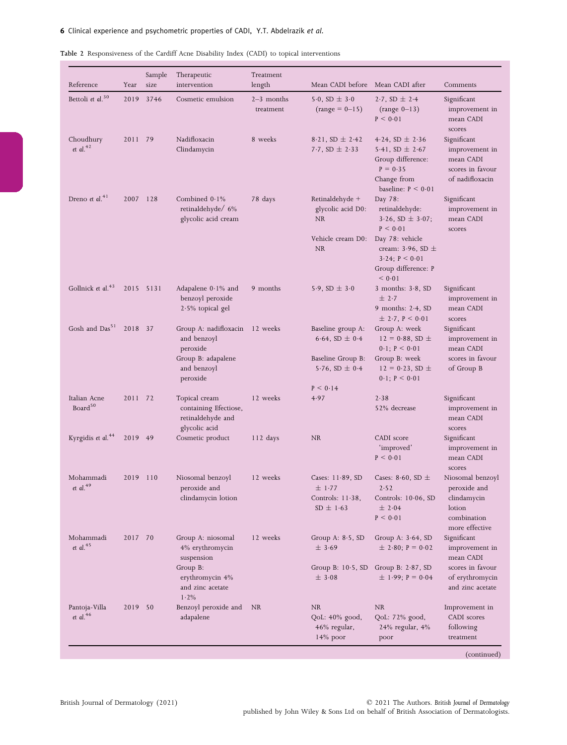| Reference                           | Year     | Sample<br>size | Therapeutic<br>intervention                                                                       | Treatment<br>length       | Mean CADI before Mean CADI after                                                               |                                                                                                                              | Comments                                                                                   |
|-------------------------------------|----------|----------------|---------------------------------------------------------------------------------------------------|---------------------------|------------------------------------------------------------------------------------------------|------------------------------------------------------------------------------------------------------------------------------|--------------------------------------------------------------------------------------------|
| Bettoli et al. <sup>30</sup>        | 2019     | 3746           | Cosmetic emulsion                                                                                 | $2-3$ months<br>treatment | 5.0, SD $\pm$ 3.0<br>$(range = 0 - 15)$                                                        | 2.7, SD $\pm$ 2.4<br>$(range 0-13)$<br>P < 0.01                                                                              | Significant<br>improvement in<br>mean CADI<br>scores                                       |
| Choudhury<br>et al. $42$            | 2011 79  |                | Nadifloxacin<br>Clindamycin                                                                       | 8 weeks                   | 8.21, SD $\pm$ 2.42<br>7.7, SD $\pm$ 2.33                                                      | $4.24$ , SD $\pm$ 2.36<br>5.41, SD $\pm$ 2.67<br>Group difference:<br>$P = 0.35$<br>Change from<br>baseline: $P \leq 0.01$   | Significant<br>improvement in<br>mean CADI<br>scores in favour<br>of nadifloxacin          |
| Dreno et al. $41$                   | 2007 128 |                | Combined $0.1\%$<br>retinaldehyde/ 6%<br>glycolic acid cream                                      | 78 days                   | Retinaldehyde +<br>glycolic acid D0:<br><b>NR</b>                                              | Day 78:<br>retinaldehyde:<br>$3.26$ , SD $\pm$ 3.07;<br>P < 0.01                                                             | Significant<br>improvement in<br>mean CADI<br>scores                                       |
|                                     |          |                |                                                                                                   |                           | Vehicle cream D0:<br><b>NR</b>                                                                 | Day 78: vehicle<br>cream: $3.96$ , SD $\pm$<br>$3.24; P \le 0.01$<br>Group difference: P<br>< 0.01                           |                                                                                            |
| Gollnick et al. <sup>43</sup>       |          | 2015 5131      | Adapalene $0.1\%$ and<br>benzoyl peroxide<br>$2.5\%$ topical gel                                  | 9 months                  | 5.9, SD $\pm$ 3.0                                                                              | 3 months: $3.8$ , SD<br>± 2.7<br>9 months: $2.4$ , SD<br>$\pm$ 2.7, P < 0.01                                                 | Significant<br>improvement in<br>mean CADI<br>scores                                       |
| Gosh and Das <sup>51</sup>          | 2018 37  |                | Group A: nadifloxacin<br>and benzoyl<br>peroxide<br>Group B: adapalene<br>and benzoyl<br>peroxide | 12 weeks                  | Baseline group A:<br>6.64, SD $\pm$ 0.4<br>Baseline Group B:<br>5.76, SD $\pm$ 0.4<br>P < 0.14 | Group A: week<br>$12 = 0.88$ , SD $\pm$<br>$0.1; P \le 0.01$<br>Group B: week<br>$12 = 0.23$ , SD $\pm$<br>$0.1; P \le 0.01$ | Significant<br>improvement in<br>mean CADI<br>scores in favour<br>of Group B               |
| Italian Acne<br>Board <sup>50</sup> | 2011 72  |                | Topical cream<br>containing Efectiose,<br>retinaldehyde and<br>glycolic acid                      | 12 weeks                  | 4.97                                                                                           | 2.38<br>52% decrease                                                                                                         | Significant<br>improvement in<br>mean CADI<br>scores                                       |
| Kyrgidis et al. <sup>44</sup>       | 2019 49  |                | Cosmetic product                                                                                  | $112 \text{ days}$        | NR.                                                                                            | CADI score<br>'improved'<br>P < 0.01                                                                                         | Significant<br>improvement in<br>mean CADI<br>scores                                       |
| Mohammadi<br>et al. $49$            | 2019     | 110            | Niosomal benzoyl<br>peroxide and<br>clindamycin lotion                                            | 12 weeks                  | Cases: $11.89$ , SD<br>± 1.77<br>Controls: 11.38,<br>$SD \pm 1.63$                             | Cases: 8.60, SD $\pm$<br>2.52<br>Controls: 10.06, SD<br>± 2.04<br>P < 0.01                                                   | Niosomal benzoyl<br>peroxide and<br>clindamycin<br>lotion<br>combination<br>more effective |
| Mohammadi<br>et al. $45$            | 2017 70  |                | Group A: niosomal<br>4% erythromycin<br>suspension<br>Group B:<br>erythromycin 4%                 | 12 weeks                  | Group A: $8.5$ , SD<br>± 3.69<br>Group B: $10.5$ , SD<br>$\pm$ 3.08                            | Group A: $3.64$ , SD<br>$\pm$ 2.80; P = 0.02<br>Group B: $2.87$ , SD<br>$\pm$ 1.99; P = 0.04                                 | Significant<br>improvement in<br>mean CADI<br>scores in favour<br>of erythromycin          |
|                                     |          |                | and zinc acetate<br>1.2%                                                                          |                           |                                                                                                |                                                                                                                              | and zinc acetate                                                                           |
| Pantoja-Villa<br>et al. $46$        | 2019 50  |                | Benzoyl peroxide and<br>adapalene                                                                 | NR                        | NR<br>QoL: 40% good,<br>46% regular,<br>$14\%$ poor                                            | NR.<br>QoL: 72% good,<br>24% regular, 4%<br>poor                                                                             | Improvement in<br>CADI scores<br>following<br>treatment                                    |

|  |  | Table 2 Responsiveness of the Cardiff Acne Disability Index (CADI) to topical interventions |  |
|--|--|---------------------------------------------------------------------------------------------|--|
|  |  |                                                                                             |  |

(continued)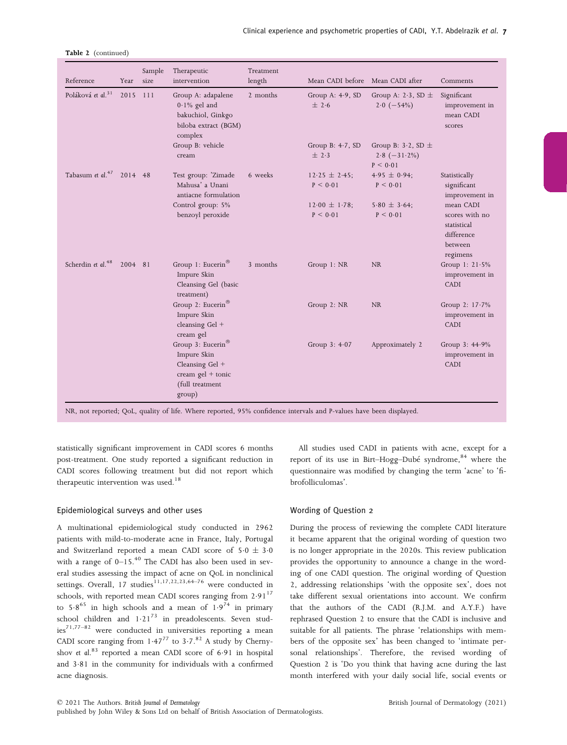| Reference                     | Year     | Sample<br>size | Therapeutic<br>intervention                                                                             | Treatment<br>length | Mean CADI before Mean CADI after    |                                                            | Comments                                                                        |
|-------------------------------|----------|----------------|---------------------------------------------------------------------------------------------------------|---------------------|-------------------------------------|------------------------------------------------------------|---------------------------------------------------------------------------------|
| Poláková et al. <sup>31</sup> | 2015 111 |                | Group A: adapalene<br>$0.1\%$ gel and<br>bakuchiol, Ginkgo<br>biloba extract (BGM)<br>complex           | 2 months            | Group A: $4.9$ , SD<br>± 2.6        | Group A: 2.3, SD $\pm$<br>$2.0$ $(-54\%)$                  | Significant<br>improvement in<br>mean CADI<br>scores                            |
|                               |          |                | Group B: vehicle<br>cream                                                                               |                     | Group B: $4-7$ , SD<br>$\pm$ 2.3    | Group B: $3-2$ , SD $\pm$<br>$2.8$ $(-31.2\%)$<br>P < 0.01 |                                                                                 |
| Tabasum et al. $47$ 2014 48   |          |                | Test group: 'Zimade<br>Mahusa' a Unani<br>antiacne formulation                                          | 6 weeks             | $12.25 \pm 2.45$ ;<br>P < 0.01      | $4.95 \pm 0.94$ ;<br>P < 0.01                              | Statistically<br>significant<br>improvement in                                  |
|                               |          |                | Control group: 5%<br>benzoyl peroxide                                                                   |                     | $12.00 \pm 1.78$ ;<br>$P \leq 0.01$ | $5.80 \pm 3.64$ ;<br>P < 0.01                              | mean CADI<br>scores with no<br>statistical<br>difference<br>between<br>regimens |
| Scherdin et al. <sup>48</sup> | 2004 81  |                | Group 1: Eucerin <sup>®</sup><br>Impure Skin<br>Cleansing Gel (basic<br>treatment)                      | 3 months            | Group 1: NR                         | $\rm NR$                                                   | Group 1: $21.5%$<br>improvement in<br>CADI                                      |
|                               |          |                | Group 2: Eucerin <sup>®</sup><br>Impure Skin<br>cleansing Gel +<br>cream gel                            |                     | Group 2: NR                         | <b>NR</b>                                                  | Group 2: 17.7%<br>improvement in<br>CADI                                        |
|                               |          |                | Group 3: Eucerin®<br>Impure Skin<br>Cleansing Gel +<br>cream $gel + tonic$<br>(full treatment<br>group) |                     | Group $3:4.07$                      | Approximately 2                                            | Group $3: 44.9\%$<br>improvement in<br><b>CADI</b>                              |

| Table 2 (continued) |
|---------------------|
|                     |

NR, not reported; QoL, quality of life. Where reported, 95% confidence intervals and P-values have been displayed.

statistically significant improvement in CADI scores 6 months post-treatment. One study reported a significant reduction in CADI scores following treatment but did not report which therapeutic intervention was used.<sup>18</sup>

## Epidemiological surveys and other uses

A multinational epidemiological study conducted in 2962 patients with mild-to-moderate acne in France, Italy, Portugal and Switzerland reported a mean CADI score of  $5.0 \pm 3.0$ with a range of  $0-15.^{40}$  The CADI has also been used in several studies assessing the impact of acne on QoL in nonclinical settings. Overall, 17 studies<sup>11,17,22,23,64–76</sup> were conducted in schools, with reported mean CADI scores ranging from  $2.91^{17}$ to  $5.8^{65}$  in high schools and a mean of  $1.9^{74}$  in primary school children and  $1.21^{73}$  in preadolescents. Seven studies<sup>71,77–82</sup> were conducted in universities reporting a mean CADI score ranging from  $1.47^{77}$  to  $3.7$ .<sup>82</sup> A study by Chernyshov et al.<sup>83</sup> reported a mean CADI score of 6.91 in hospital and 3.81 in the community for individuals with a confirmed acne diagnosis.

All studies used CADI in patients with acne, except for a report of its use in Birt–Hogg–Dubé syndrome,<sup>84</sup> where the questionnaire was modified by changing the term 'acne' to 'fibrofolliculomas'.

## Wording of Question 2

During the process of reviewing the complete CADI literature it became apparent that the original wording of question two is no longer appropriate in the 2020s. This review publication provides the opportunity to announce a change in the wording of one CADI question. The original wording of Question 2, addressing relationships 'with the opposite sex', does not take different sexual orientations into account. We confirm that the authors of the CADI (R.J.M. and A.Y.F.) have rephrased Question 2 to ensure that the CADI is inclusive and suitable for all patients. The phrase 'relationships with members of the opposite sex' has been changed to 'intimate personal relationships'. Therefore, the revised wording of Question 2 is 'Do you think that having acne during the last month interfered with your daily social life, social events or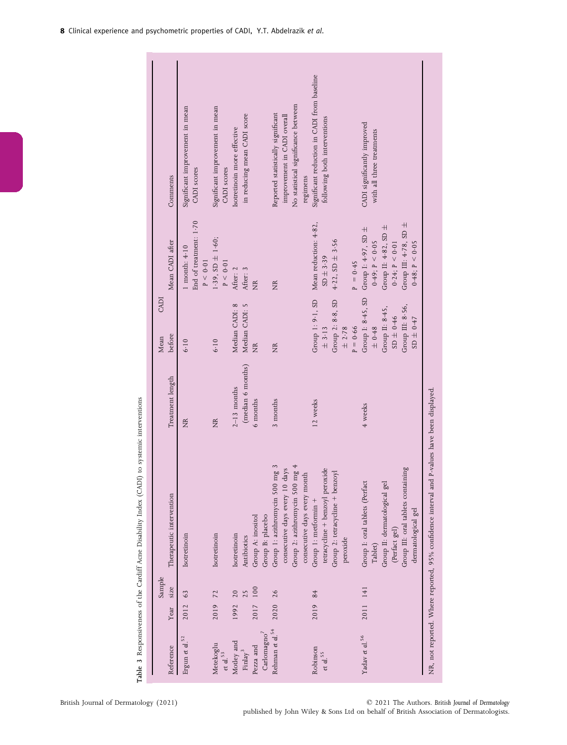| following both interventions<br>CADI significantly improved<br>Isotretinoin more effective<br>with all three treatments<br>CADI scores<br>CADI scores<br>Comments<br>regimens<br>End of treatment: 1.70<br>Mean reduction: 4.82,<br>Group III: $4.78$ , SD $\pm$<br>Group II: 4.82, SD ±<br>Group I: 4.97, SD $\pm$<br>1.39, $SD \pm 1.60$ ;<br>$4.22$ , SD $\pm$ 3.56<br>Mean CADI after<br>0.49; P < 0.05<br>0.24; P < 0.01<br>0.48; P < 0.05<br>$1$ month: $4 \cdot 10$<br>$SD \pm 3.39$<br>$P = 0.45$<br>P < 0.01<br>P < 0.01<br>After: 2<br>After: 3<br>ğ<br>É<br>Group I: 8.45, SD<br>Group 1: 9-1, SD<br>Group 2: 8-8, SD<br>Median CADI: 8<br>Median CADI: 5<br>Group III: 8.56,<br>Group II: 8.45,<br>$9+0.46$<br>SD ± 0.47<br>$+0.48$<br>$P = 0.66$<br>± 2.78<br>$\pm$ 3-13<br>before<br>6.10<br>6.10<br>$\widetilde{\Xi}$<br>É<br>(median 6 months)<br>Treatment length<br>$2-13$ months<br>6 months<br>3 months<br>12 weeks<br>4 weeks<br>É<br>É<br>Group 1: azithromycin 500 mg 3<br>Group 2: azithromycin 500 mg $4$<br>Group III: oral tablets containing<br>days<br>tetracycline + benzoyl peroxide<br>Group 2: tetracycline + benzoyl<br>consecutive days every month<br>Group I: oral tablets (Perfact<br>Group II: dermatological gel<br>consecutive days every 10<br>Therapeutic intervention<br>Group 1: metformin +<br>Group B: placebo<br>Group A: inositol<br>(Perfact gel)<br>Isotretinoin<br>Isotretinoin<br>Isotretinoin<br>Antibiotics<br>peroxide<br>Tablet)<br>size<br>2017 100<br>2011 141<br>2020 26<br>2019 84<br>2019 72<br>1992 20<br>2012 63<br>Year<br>Rehman et al. $^{\rm 54}$<br>Carlomagno $^7$<br>Yadav et al. <sup>56</sup><br>Ergun et al. <sup>52</sup><br>Motley and<br>Metekoglu<br>Pezza and<br>Reference<br>Robinson<br>Finlay <sup>3</sup><br>et al. $55$<br>et $d.$ <sup>53</sup> |  | Sample |                    | CADI<br>Mean |                                             |
|--------------------------------------------------------------------------------------------------------------------------------------------------------------------------------------------------------------------------------------------------------------------------------------------------------------------------------------------------------------------------------------------------------------------------------------------------------------------------------------------------------------------------------------------------------------------------------------------------------------------------------------------------------------------------------------------------------------------------------------------------------------------------------------------------------------------------------------------------------------------------------------------------------------------------------------------------------------------------------------------------------------------------------------------------------------------------------------------------------------------------------------------------------------------------------------------------------------------------------------------------------------------------------------------------------------------------------------------------------------------------------------------------------------------------------------------------------------------------------------------------------------------------------------------------------------------------------------------------------------------------------------------------------------------------------------------------------------------------------------------------------------------------------------------------------------------------------------|--|--------|--------------------|--------------|---------------------------------------------|
|                                                                                                                                                                                                                                                                                                                                                                                                                                                                                                                                                                                                                                                                                                                                                                                                                                                                                                                                                                                                                                                                                                                                                                                                                                                                                                                                                                                                                                                                                                                                                                                                                                                                                                                                                                                                                                      |  |        |                    |              |                                             |
|                                                                                                                                                                                                                                                                                                                                                                                                                                                                                                                                                                                                                                                                                                                                                                                                                                                                                                                                                                                                                                                                                                                                                                                                                                                                                                                                                                                                                                                                                                                                                                                                                                                                                                                                                                                                                                      |  |        |                    |              | Significant improvement in mean             |
|                                                                                                                                                                                                                                                                                                                                                                                                                                                                                                                                                                                                                                                                                                                                                                                                                                                                                                                                                                                                                                                                                                                                                                                                                                                                                                                                                                                                                                                                                                                                                                                                                                                                                                                                                                                                                                      |  |        |                    |              |                                             |
|                                                                                                                                                                                                                                                                                                                                                                                                                                                                                                                                                                                                                                                                                                                                                                                                                                                                                                                                                                                                                                                                                                                                                                                                                                                                                                                                                                                                                                                                                                                                                                                                                                                                                                                                                                                                                                      |  |        |                    |              |                                             |
|                                                                                                                                                                                                                                                                                                                                                                                                                                                                                                                                                                                                                                                                                                                                                                                                                                                                                                                                                                                                                                                                                                                                                                                                                                                                                                                                                                                                                                                                                                                                                                                                                                                                                                                                                                                                                                      |  |        |                    |              | Significant improvement in mean             |
|                                                                                                                                                                                                                                                                                                                                                                                                                                                                                                                                                                                                                                                                                                                                                                                                                                                                                                                                                                                                                                                                                                                                                                                                                                                                                                                                                                                                                                                                                                                                                                                                                                                                                                                                                                                                                                      |  |        |                    |              |                                             |
|                                                                                                                                                                                                                                                                                                                                                                                                                                                                                                                                                                                                                                                                                                                                                                                                                                                                                                                                                                                                                                                                                                                                                                                                                                                                                                                                                                                                                                                                                                                                                                                                                                                                                                                                                                                                                                      |  |        |                    |              |                                             |
|                                                                                                                                                                                                                                                                                                                                                                                                                                                                                                                                                                                                                                                                                                                                                                                                                                                                                                                                                                                                                                                                                                                                                                                                                                                                                                                                                                                                                                                                                                                                                                                                                                                                                                                                                                                                                                      |  |        |                    |              | in reducing mean CADI score                 |
|                                                                                                                                                                                                                                                                                                                                                                                                                                                                                                                                                                                                                                                                                                                                                                                                                                                                                                                                                                                                                                                                                                                                                                                                                                                                                                                                                                                                                                                                                                                                                                                                                                                                                                                                                                                                                                      |  |        |                    |              |                                             |
|                                                                                                                                                                                                                                                                                                                                                                                                                                                                                                                                                                                                                                                                                                                                                                                                                                                                                                                                                                                                                                                                                                                                                                                                                                                                                                                                                                                                                                                                                                                                                                                                                                                                                                                                                                                                                                      |  |        |                    |              |                                             |
|                                                                                                                                                                                                                                                                                                                                                                                                                                                                                                                                                                                                                                                                                                                                                                                                                                                                                                                                                                                                                                                                                                                                                                                                                                                                                                                                                                                                                                                                                                                                                                                                                                                                                                                                                                                                                                      |  |        |                    |              | Reported statistically significant          |
|                                                                                                                                                                                                                                                                                                                                                                                                                                                                                                                                                                                                                                                                                                                                                                                                                                                                                                                                                                                                                                                                                                                                                                                                                                                                                                                                                                                                                                                                                                                                                                                                                                                                                                                                                                                                                                      |  |        |                    |              | improvement in CADI overall                 |
|                                                                                                                                                                                                                                                                                                                                                                                                                                                                                                                                                                                                                                                                                                                                                                                                                                                                                                                                                                                                                                                                                                                                                                                                                                                                                                                                                                                                                                                                                                                                                                                                                                                                                                                                                                                                                                      |  |        |                    |              | No statistical significance between         |
|                                                                                                                                                                                                                                                                                                                                                                                                                                                                                                                                                                                                                                                                                                                                                                                                                                                                                                                                                                                                                                                                                                                                                                                                                                                                                                                                                                                                                                                                                                                                                                                                                                                                                                                                                                                                                                      |  |        |                    |              |                                             |
|                                                                                                                                                                                                                                                                                                                                                                                                                                                                                                                                                                                                                                                                                                                                                                                                                                                                                                                                                                                                                                                                                                                                                                                                                                                                                                                                                                                                                                                                                                                                                                                                                                                                                                                                                                                                                                      |  |        |                    |              | Significant reduction in CADI from baseline |
|                                                                                                                                                                                                                                                                                                                                                                                                                                                                                                                                                                                                                                                                                                                                                                                                                                                                                                                                                                                                                                                                                                                                                                                                                                                                                                                                                                                                                                                                                                                                                                                                                                                                                                                                                                                                                                      |  |        |                    |              |                                             |
|                                                                                                                                                                                                                                                                                                                                                                                                                                                                                                                                                                                                                                                                                                                                                                                                                                                                                                                                                                                                                                                                                                                                                                                                                                                                                                                                                                                                                                                                                                                                                                                                                                                                                                                                                                                                                                      |  |        |                    |              |                                             |
|                                                                                                                                                                                                                                                                                                                                                                                                                                                                                                                                                                                                                                                                                                                                                                                                                                                                                                                                                                                                                                                                                                                                                                                                                                                                                                                                                                                                                                                                                                                                                                                                                                                                                                                                                                                                                                      |  |        |                    |              |                                             |
|                                                                                                                                                                                                                                                                                                                                                                                                                                                                                                                                                                                                                                                                                                                                                                                                                                                                                                                                                                                                                                                                                                                                                                                                                                                                                                                                                                                                                                                                                                                                                                                                                                                                                                                                                                                                                                      |  |        |                    |              |                                             |
|                                                                                                                                                                                                                                                                                                                                                                                                                                                                                                                                                                                                                                                                                                                                                                                                                                                                                                                                                                                                                                                                                                                                                                                                                                                                                                                                                                                                                                                                                                                                                                                                                                                                                                                                                                                                                                      |  |        |                    |              |                                             |
|                                                                                                                                                                                                                                                                                                                                                                                                                                                                                                                                                                                                                                                                                                                                                                                                                                                                                                                                                                                                                                                                                                                                                                                                                                                                                                                                                                                                                                                                                                                                                                                                                                                                                                                                                                                                                                      |  |        |                    |              |                                             |
|                                                                                                                                                                                                                                                                                                                                                                                                                                                                                                                                                                                                                                                                                                                                                                                                                                                                                                                                                                                                                                                                                                                                                                                                                                                                                                                                                                                                                                                                                                                                                                                                                                                                                                                                                                                                                                      |  |        |                    |              |                                             |
|                                                                                                                                                                                                                                                                                                                                                                                                                                                                                                                                                                                                                                                                                                                                                                                                                                                                                                                                                                                                                                                                                                                                                                                                                                                                                                                                                                                                                                                                                                                                                                                                                                                                                                                                                                                                                                      |  |        |                    |              |                                             |
|                                                                                                                                                                                                                                                                                                                                                                                                                                                                                                                                                                                                                                                                                                                                                                                                                                                                                                                                                                                                                                                                                                                                                                                                                                                                                                                                                                                                                                                                                                                                                                                                                                                                                                                                                                                                                                      |  |        |                    |              |                                             |
|                                                                                                                                                                                                                                                                                                                                                                                                                                                                                                                                                                                                                                                                                                                                                                                                                                                                                                                                                                                                                                                                                                                                                                                                                                                                                                                                                                                                                                                                                                                                                                                                                                                                                                                                                                                                                                      |  |        | dermatological gel |              |                                             |

Table 3 Responsiveness of the Cardiff Acne Disability Index (CADI) to systemic interventions Table 3 Responsiveness of the Cardiff Acne Disability Index (CADI) to systemic interventions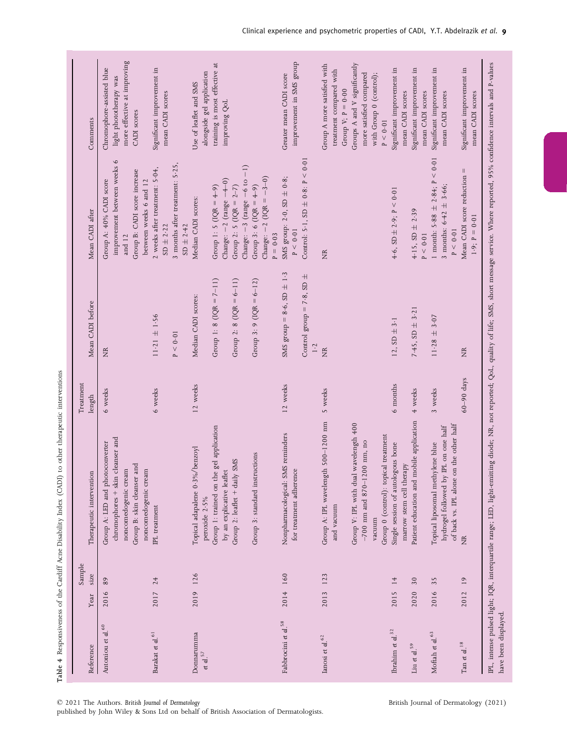| Reference                                           | Year         | Sample<br>size        | Therapeutic intervention                                                                                                                                                                                  | Treatment<br>length | Mean CADI before                                                                | Mean CADI after                                                                                                                     | Comments                                                                                                                                                            |
|-----------------------------------------------------|--------------|-----------------------|-----------------------------------------------------------------------------------------------------------------------------------------------------------------------------------------------------------|---------------------|---------------------------------------------------------------------------------|-------------------------------------------------------------------------------------------------------------------------------------|---------------------------------------------------------------------------------------------------------------------------------------------------------------------|
| Antoniou et al. <sup>60</sup>                       | 2016         | 89                    | chromophores + skin cleanser and<br>Group A: LED and photoconverter<br>Group B: skin cleanser and<br>noncomedogenic cream<br>noncomedogenic cream                                                         | 6 weeks             | É                                                                               | $\circ$<br>improvement between weeks<br>Group B: CADI score increase<br>Group A: 40% CADI score<br>between weeks 6 and 12<br>and 12 | more effective at improving<br>Chromophore-assisted blue<br>light phototherapy was<br>CADI scores                                                                   |
| Barakat et al. $\rm ^{61}$                          | 2017         | 24                    | IPL treatment                                                                                                                                                                                             | 6 weeks             | $11.21 \pm 1.56$<br>P < 0.01                                                    | 3 months after treatment: 5-25,<br>2 weeks after treatment: 5.04,<br>$SD + 2.42$<br>$SD$ $\pm$ 2.22                                 | Significant improvement in<br>mean CADI scores                                                                                                                      |
| Donnarumma<br>et al. $57$                           |              | 2019 126              | Group 1: trained on the gel application<br>%/benzoyl<br>Group 2: leaflet + daily SMS<br>by an explicative leaflet<br>Topical adapalene 0-3<br>peroxide 2.5%                                               | 12 weeks            | Group 1: 8 (IQR = $7-11$ )<br>Group 2: 8 (IQR = $6-11$ )<br>Median CADI scores: | Change: $-2$ (range $-4-0$ )<br>Group 2: 5 (IQR = $2-7$ )<br>Group 1: 5 (IQR = $4-9$ )<br>Median CADI scores:                       | training is most effective at<br>alongside gel application<br>Use of leaflet and SMS<br>improving QoL                                                               |
|                                                     |              |                       | Group 3: standard instructions                                                                                                                                                                            |                     | Group 3: 9 (IQR = $6-12$ )                                                      | Change: $-3$ (range $-6$ to $-1$ )<br>Change: $-2$ (IQR = $-3-0$ )<br>Group 3: 6 (IQR = $4-9$ )<br>$P = 0.03$                       |                                                                                                                                                                     |
| Fabbrocini et al. <sup>58</sup>                     | 2014         | 160                   | SMS reminders<br>for treatment adherence<br>Nonpharmacological:                                                                                                                                           | 12 weeks            | SMS group = 8.6, $SD \pm 1.3$<br>Control group = 7.8, SD $\pm$<br>1.2           | Control: 5.1, $SD \pm 0.8$ : $P < 0.01$<br>SMS group: $2.0$ , SD $\pm 0.8$ ;<br>P < 0.01                                            | improvement in SMS group<br>Greater mean CADI score                                                                                                                 |
| Ianosi et al. $\rm ^{62}$                           | 2013 123     |                       | 1gth 500-1200 nm<br>Group V: IPL with dual wavelength 400<br>1200 nm, no<br>Group A: IPL wavelen<br>$-700$ nm and 870–<br>and vacuum<br>vacuum                                                            | 5 weeks             | É                                                                               | Ž                                                                                                                                   | Group A more satisfied with<br>Groups A and V significantly<br>treatment compared with<br>more satisfied compared<br>with Group 0 (control);<br>Group V; $P = 0.00$ |
| Ibrahim et al. $^{32}$<br>Liu $\it{et}$ al. $^{59}$ | 2015<br>2020 | $\overline{14}$<br>30 | mobile application<br>Group 0 (control): topical treatment<br>Single session of autologous bone<br>marrow stem cell therapy<br>Patient education and                                                      | 6 months<br>4 weeks | 7.45, $SD \pm 3.21$<br>12, $SD \pm 3.1$                                         | 4.6, SD $\pm$ 2.9; P < 0.01<br>4.15, SD $\pm$ 2.39                                                                                  | Significant improvement in<br>Significant improvement in<br>mean CADI scores<br>P < 0.01                                                                            |
| Moftah et al. 63                                    | 2016         | 35                    | of back vs. IPL alone on the other half<br>hydrogel followed by IPL on one half<br>Topical liposomal methylene blue                                                                                       | 3 weeks             | $11.28 \pm 3.07$                                                                | 1 month: 5.88 $\pm$ 2.84; P < 0.01<br>3 months: $6.42 \pm 3.66$ ;<br>P < 0.01<br>$P < 0.01$                                         | Significant improvement in<br>mean CADI scores<br>mean CADI scores                                                                                                  |
| Tan $\it{et}$ al. $^{18}$                           | 2012         | $\overline{19}$       | É                                                                                                                                                                                                         | $60 - 90$ days      | É                                                                               | Mean CADI score reduction =<br>$1.9; P = 0.01$                                                                                      | Significant improvement in<br>mean CADI scores                                                                                                                      |
| have been displayed                                 |              |                       | IPL, intense pulsed light; IQR, interquartile range; LED, light-emitting diode; NR, not reported; QoL, quality of life; SMS, short message service. Where reported, 95% confidence intervals and P-values |                     |                                                                                 |                                                                                                                                     |                                                                                                                                                                     |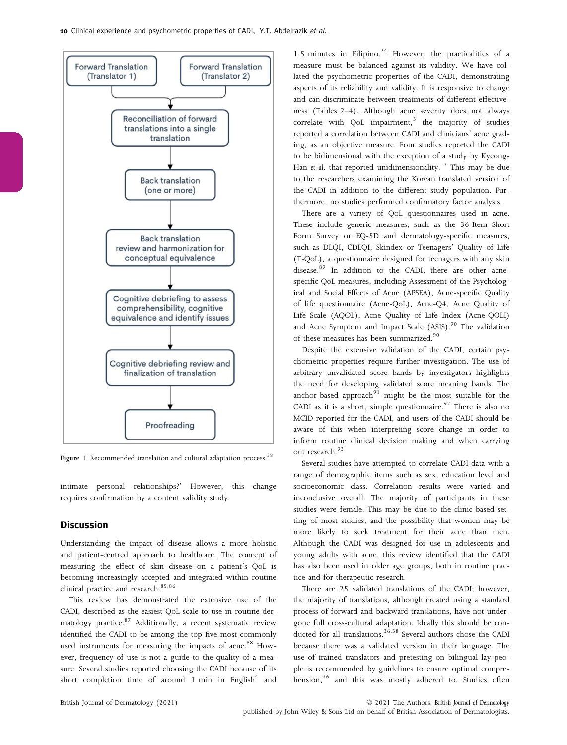

Figure 1 Recommended translation and cultural adaptation process.<sup>38</sup>

intimate personal relationships?' However, this change requires confirmation by a content validity study.

## **Discussion**

Understanding the impact of disease allows a more holistic and patient-centred approach to healthcare. The concept of measuring the effect of skin disease on a patient's QoL is becoming increasingly accepted and integrated within routine clinical practice and research.<sup>85,86</sup>

This review has demonstrated the extensive use of the CADI, described as the easiest QoL scale to use in routine dermatology practice.<sup>87</sup> Additionally, a recent systematic review identified the CADI to be among the top five most commonly used instruments for measuring the impacts of acne.<sup>88</sup> However, frequency of use is not a guide to the quality of a measure. Several studies reported choosing the CADI because of its short completion time of around 1 min in English $4$  and 1.5 minutes in Filipino.<sup>24</sup> However, the practicalities of a measure must be balanced against its validity. We have collated the psychometric properties of the CADI, demonstrating aspects of its reliability and validity. It is responsive to change and can discriminate between treatments of different effectiveness (Tables 2–4). Although acne severity does not always correlate with QoL impairment, $3$  the majority of studies reported a correlation between CADI and clinicians' acne grading, as an objective measure. Four studies reported the CADI to be bidimensional with the exception of a study by Kyeong-Han et al. that reported unidimensionality.<sup>12</sup> This may be due to the researchers examining the Korean translated version of the CADI in addition to the different study population. Furthermore, no studies performed confirmatory factor analysis.

There are a variety of QoL questionnaires used in acne. These include generic measures, such as the 36-Item Short Form Survey or EQ-5D and dermatology-specific measures, such as DLQI, CDLQI, Skindex or Teenagers' Quality of Life (T-QoL), a questionnaire designed for teenagers with any skin disease.<sup>89</sup> In addition to the CADI, there are other acnespecific QoL measures, including Assessment of the Psychological and Social Effects of Acne (APSEA), Acne-specific Quality of life questionnaire (Acne-QoL), Acne-Q4, Acne Quality of Life Scale (AQOL), Acne Quality of Life Index (Acne-QOLI) and Acne Symptom and Impact Scale (ASIS).<sup>90</sup> The validation of these measures has been summarized.<sup>90</sup>

Despite the extensive validation of the CADI, certain psychometric properties require further investigation. The use of arbitrary unvalidated score bands by investigators highlights the need for developing validated score meaning bands. The anchor-based approach $91$  might be the most suitable for the CADI as it is a short, simple questionnaire.<sup>92</sup> There is also no MCID reported for the CADI, and users of the CADI should be aware of this when interpreting score change in order to inform routine clinical decision making and when carrying out research.<sup>93</sup>

Several studies have attempted to correlate CADI data with a range of demographic items such as sex, education level and socioeconomic class. Correlation results were varied and inconclusive overall. The majority of participants in these studies were female. This may be due to the clinic-based setting of most studies, and the possibility that women may be more likely to seek treatment for their acne than men. Although the CADI was designed for use in adolescents and young adults with acne, this review identified that the CADI has also been used in older age groups, both in routine practice and for therapeutic research.

There are 25 validated translations of the CADI; however, the majority of translations, although created using a standard process of forward and backward translations, have not undergone full cross-cultural adaptation. Ideally this should be conducted for all translations.<sup>36,38</sup> Several authors chose the CADI because there was a validated version in their language. The use of trained translators and pretesting on bilingual lay people is recommended by guidelines to ensure optimal comprehension,<sup>36</sup> and this was mostly adhered to. Studies often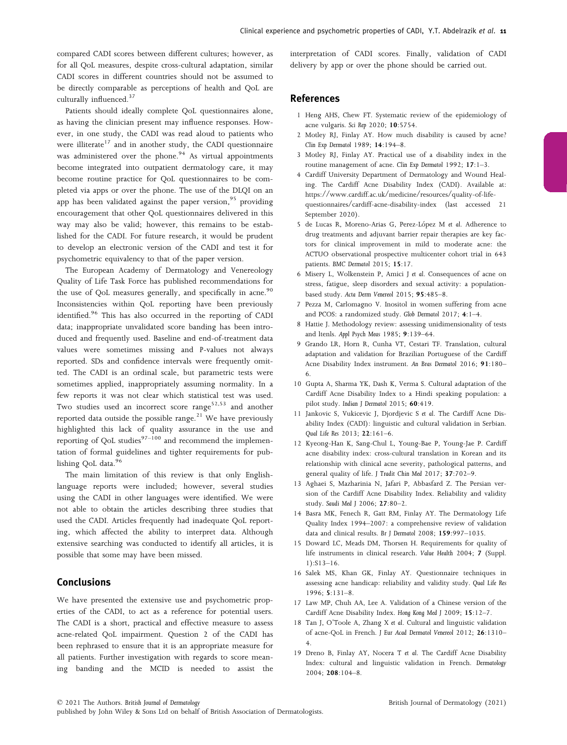compared CADI scores between different cultures; however, as for all QoL measures, despite cross-cultural adaptation, similar CADI scores in different countries should not be assumed to be directly comparable as perceptions of health and QoL are culturally influenced.<sup>37</sup>

Patients should ideally complete QoL questionnaires alone, as having the clinician present may influence responses. However, in one study, the CADI was read aloud to patients who were illiterate<sup>17</sup> and in another study, the CADI questionnaire was administered over the phone. $94$  As virtual appointments become integrated into outpatient dermatology care, it may become routine practice for QoL questionnaires to be completed via apps or over the phone. The use of the DLQI on an app has been validated against the paper version.<sup>95</sup> providing encouragement that other QoL questionnaires delivered in this way may also be valid; however, this remains to be established for the CADI. For future research, it would be prudent to develop an electronic version of the CADI and test it for psychometric equivalency to that of the paper version.

The European Academy of Dermatology and Venereology Quality of Life Task Force has published recommendations for the use of QoL measures generally, and specifically in acne.<sup>90</sup> Inconsistencies within QoL reporting have been previously identified.<sup>96</sup> This has also occurred in the reporting of CADI data; inappropriate unvalidated score banding has been introduced and frequently used. Baseline and end-of-treatment data values were sometimes missing and P-values not always reported. SDs and confidence intervals were frequently omitted. The CADI is an ordinal scale, but parametric tests were sometimes applied, inappropriately assuming normality. In a few reports it was not clear which statistical test was used. Two studies used an incorrect score range<sup>52,53</sup> and another reported data outside the possible range. $21$  We have previously highlighted this lack of quality assurance in the use and reporting of QoL studies $97-100$  and recommend the implementation of formal guidelines and tighter requirements for publishing QoL data.<sup>96</sup>

The main limitation of this review is that only Englishlanguage reports were included; however, several studies using the CADI in other languages were identified. We were not able to obtain the articles describing three studies that used the CADI. Articles frequently had inadequate QoL reporting, which affected the ability to interpret data. Although extensive searching was conducted to identify all articles, it is possible that some may have been missed.

# Conclusions

We have presented the extensive use and psychometric properties of the CADI, to act as a reference for potential users. The CADI is a short, practical and effective measure to assess acne-related QoL impairment. Question 2 of the CADI has been rephrased to ensure that it is an appropriate measure for all patients. Further investigation with regards to score meaning banding and the MCID is needed to assist the interpretation of CADI scores. Finally, validation of CADI delivery by app or over the phone should be carried out.

## References

- 1 Heng AHS, Chew FT. Systematic review of the epidemiology of acne vulgaris. Sci Rep 2020; 10:5754.
- 2 Motley RJ, Finlay AY. How much disability is caused by acne? Clin Exp Dermatol 1989; 14:194–8.
- 3 Motley RJ, Finlay AY. Practical use of a disability index in the routine management of acne. Clin Exp Dermatol 1992; 17:1–3.
- 4 Cardiff University Department of Dermatology and Wound Healing. The Cardiff Acne Disability Index (CADI). Available at: [https://www.cardiff.ac.uk/medicine/resources/quality-of-life](https://www.cardiff.ac.uk/medicine/resources/quality-of-life-questionnaires/cardiff-acne-disability-index)[questionnaires/cardiff-acne-disability-index](https://www.cardiff.ac.uk/medicine/resources/quality-of-life-questionnaires/cardiff-acne-disability-index) (last accessed 21 September 2020).
- 5 de Lucas R, Moreno-Arias G, Perez-Lopez M et al. Adherence to drug treatments and adjuvant barrier repair therapies are key factors for clinical improvement in mild to moderate acne: the ACTUO observational prospective multicenter cohort trial in 643 patients. BMC Dermatol 2015; 15:17.
- 6 Misery L, Wolkenstein P, Amici J et al. Consequences of acne on stress, fatigue, sleep disorders and sexual activity: a populationbased study. Acta Derm Venereol 2015; 95:485–8.
- 7 Pezza M, Carlomagno V. Inositol in women suffering from acne and PCOS: a randomized study. Glob Dermatol 2017; 4:1–4.
- 8 Hattie J. Methodology review: assessing unidimensionality of tests and ltenls. Appl Psych Meas 1985; 9:139–64.
- 9 Grando LR, Horn R, Cunha VT, Cestari TF. Translation, cultural adaptation and validation for Brazilian Portuguese of the Cardiff Acne Disability Index instrument. An Bras Dermatol 2016; 91:180– 6.
- 10 Gupta A, Sharma YK, Dash K, Verma S. Cultural adaptation of the Cardiff Acne Disability Index to a Hindi speaking population: a pilot study. Indian J Dermatol 2015; 60:419.
- 11 Jankovic S, Vukicevic J, Djordjevic S et al. The Cardiff Acne Disability Index (CADI): linguistic and cultural validation in Serbian. Qual Life Res 2013; 22:161–6.
- 12 Kyeong-Han K, Sang-Chul L, Young-Bae P, Young-Jae P. Cardiff acne disability index: cross-cultural translation in Korean and its relationship with clinical acne severity, pathological patterns, and general quality of life. J Tradit Chin Med 2017; <sup>37</sup>:702–9.
- 13 Aghaei S, Mazharinia N, Jafari P, Abbasfard Z. The Persian version of the Cardiff Acne Disability Index. Reliability and validity study. Saudi Med J 2006; 27:80–2.
- 14 Basra MK, Fenech R, Gatt RM, Finlay AY. The Dermatology Life Quality Index 1994–2007: a comprehensive review of validation data and clinical results. Br J Dermatol 2008; 159:997–1035.
- 15 Doward LC, Meads DM, Thorsen H. Requirements for quality of life instruments in clinical research. Value Health 2004; 7 (Suppl. 1):S13–16.
- 16 Salek MS, Khan GK, Finlay AY. Questionnaire techniques in assessing acne handicap: reliability and validity study. Qual Life Res 1996; 5:131–8.
- 17 Law MP, Chuh AA, Lee A. Validation of a Chinese version of the Cardiff Acne Disability Index. Hong Kong Med J 2009; 15:12–7.
- 18 Tan J, O'Toole A, Zhang X et al. Cultural and linguistic validation of acne-QoL in French. J Eur Acad Dermatol Venereol 2012; 26:1310– 4.
- 19 Dreno B, Finlay AY, Nocera T et al. The Cardiff Acne Disability Index: cultural and linguistic validation in French. Dermatology 2004; 208:104–8.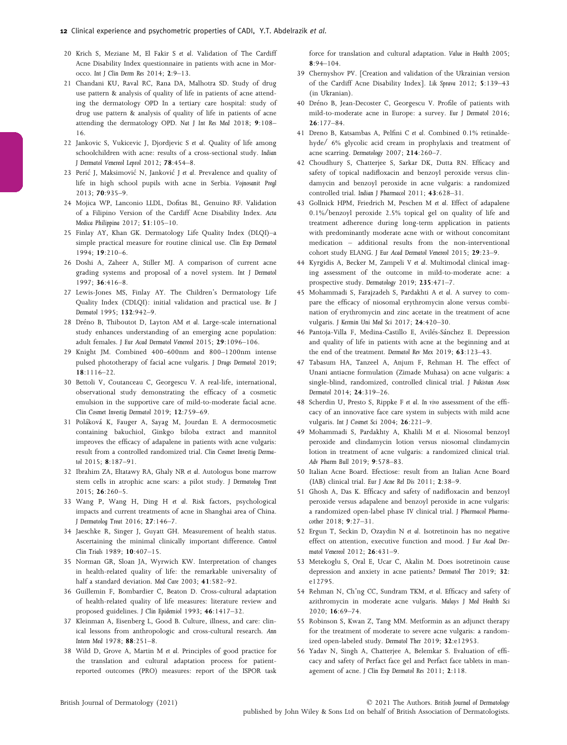- 20 Krich S, Meziane M, El Fakir S et al. Validation of The Cardiff Acne Disability Index questionnaire in patients with acne in Morocco. Int J Clin Derm Res 2014; 2:9–13.
- 21 Chandani KU, Raval RC, Rana DA, Malhotra SD. Study of drug use pattern & analysis of quality of life in patients of acne attending the dermatology OPD In a tertiary care hospital: study of drug use pattern & analysis of quality of life in patients of acne attending the dermatology OPD. Nat J Int Res Med 2018; 9:108– 16.
- 22 Jankovic S, Vukicevic J, Djordjevic S et al. Quality of life among schoolchildren with acne: results of a cross-sectional study. Indian J Dermatol Venereol Leprol 2012; 78:454–8.
- 23 Peric J, Maksimovic N, Jankovic J et al. Prevalence and quality of life in high school pupils with acne in Serbia. Vojnosanit Pregl 2013; 70:935–9.
- 24 Mojica WP, Lanconio LLDL, Dofitas BL, Genuino RF. Validation of a Filipino Version of the Cardiff Acne Disability Index. Acta Medica Philippina 2017; 51:105–10.
- 25 Finlay AY, Khan GK. Dermatology Life Quality Index (DLQI)–a simple practical measure for routine clinical use. Clin Exp Dermatol 1994; 19:210–6.
- 26 Doshi A, Zaheer A, Stiller MJ. A comparison of current acne grading systems and proposal of a novel system. Int J Dermatol 1997; 36:416–8.
- 27 Lewis-Jones MS, Finlay AY. The Children's Dermatology Life Quality Index (CDLQI): initial validation and practical use. Br J Dermatol 1995; 132:942–9.
- 28 Dréno B, Thiboutot D, Layton AM et al. Large-scale international study enhances understanding of an emerging acne population: adult females. J Eur Acad Dermatol Venereol 2015; 29:1096–106.
- 29 Knight JM. Combined 400–600nm and 800–1200nm intense pulsed phototherapy of facial acne vulgaris. J Drugs Dermatol 2019; 18:1116–22.
- 30 Bettoli V, Coutanceau C, Georgescu V. A real-life, international, observational study demonstrating the efficacy of a cosmetic emulsion in the supportive care of mild-to-moderate facial acne. Clin Cosmet Investig Dermatol 2019; 12:759–69.
- 31 Polakova K, Fauger A, Sayag M, Jourdan E. A dermocosmetic containing bakuchiol, Ginkgo biloba extract and mannitol improves the efficacy of adapalene in patients with acne vulgaris: result from a controlled randomized trial. Clin Cosmet Investig Dermatol 2015; 8:187–91.
- 32 Ibrahim ZA, Eltatawy RA, Ghaly NR et al. Autologus bone marrow stem cells in atrophic acne scars: a pilot study. J Dermatolog Treat 2015; 26:260–5.
- 33 Wang P, Wang H, Ding H et al. Risk factors, psychological impacts and current treatments of acne in Shanghai area of China. J Dermatolog Treat 2016; 27:146–7.
- 34 Jaeschke R, Singer J, Guyatt GH. Measurement of health status. Ascertaining the minimal clinically important difference. Control Clin Trials 1989; 10:407–15.
- 35 Norman GR, Sloan JA, Wyrwich KW. Interpretation of changes in health-related quality of life: the remarkable universality of half a standard deviation. Med Care 2003; 41:582–92.
- 36 Guillemin F, Bombardier C, Beaton D. Cross-cultural adaptation of health-related quality of life measures: literature review and proposed guidelines. J Clin Epidemiol 1993; 46:1417–32.
- 37 Kleinman A, Eisenberg L, Good B. Culture, illness, and care: clinical lessons from anthropologic and cross-cultural research. Ann Intern Med 1978; 88:251–8.
- 38 Wild D, Grove A, Martin M et al. Principles of good practice for the translation and cultural adaptation process for patientreported outcomes (PRO) measures: report of the ISPOR task

force for translation and cultural adaptation. Value in Health 2005;  $8:94-104.$ 

- 39 Chernyshov PV. [Creation and validation of the Ukrainian version of the Cardiff Acne Disability Index]. Lik Sprava 2012; 5:139–<sup>43</sup> (in Ukranian).
- 40 Dréno B, Jean-Decoster C, Georgescu V. Profile of patients with mild-to-moderate acne in Europe: a survey. Eur J Dermatol 2016;  $26:177 - 84.$
- 41 Dreno B, Katsambas A, Pelfini C et al. Combined 0.1% retinaldehyde/ 6% glycolic acid cream in prophylaxis and treatment of acne scarring. Dermatology 2007; 214:260-7.
- 42 Choudhury S, Chatterjee S, Sarkar DK, Dutta RN. Efficacy and safety of topical nadifloxacin and benzoyl peroxide versus clindamycin and benzoyl peroxide in acne vulgaris: a randomized controlled trial. Indian J Pharmacol 2011; 43:628-31.
- 43 Gollnick HPM, Friedrich M, Peschen M et al. Effect of adapalene 0.1%/benzoyl peroxide 2.5% topical gel on quality of life and treatment adherence during long-term application in patients with predominantly moderate acne with or without concomitant medication – additional results from the non-interventional cohort study ELANG. J Eur Acad Dermatol Venereol 2015; 29:23–9.
- 44 Kyrgidis A, Becker M, Zampeli V et al. Multimodal clinical imaging assessment of the outcome in mild-to-moderate acne: a prospective study. Dermatology 2019; 235:471–7.
- 45 Mohammadi S, Farajzadeh S, Pardakhti A et al. A survey to compare the efficacy of niosomal erythromycin alone versus combination of erythromycin and zinc acetate in the treatment of acne vulgaris. J Kermin Uni Med Sci 2017; 24:420–30.
- 46 Pantoja-Villa F, Medina-Castillo E, Avilés-Sánchez E. Depression and quality of life in patients with acne at the beginning and at the end of the treatment. Dermatol Rev Mex 2019; 63:123–43.
- 47 Tabasum HA, Tanzeel A, Anjum F, Rehman H. The effect of Unani antiacne formulation (Zimade Muhasa) on acne vulgaris: a single-blind, randomized, controlled clinical trial. J Pakistan Assoc Dermatol 2014; <sup>24</sup>:319–26.
- 48 Scherdin U, Presto S, Rippke F et al. In vivo assessment of the efficacy of an innovative face care system in subjects with mild acne vulgaris. Int J Cosmet Sci 2004; 26:221-9.
- 49 Mohammadi S, Pardakhty A, Khalili M et al. Niosomal benzoyl peroxide and clindamycin lotion versus niosomal clindamycin lotion in treatment of acne vulgaris: a randomized clinical trial. Adv Pharm Bull 2019; 9:578–83.
- 50 Italian Acne Board. Efectiose: result from an Italian Acne Board (IAB) clinical trial. Eur J Acne Rel Dis 2011; 2:38–9.
- 51 Ghosh A, Das K. Efficacy and safety of nadifloxacin and benzoyl peroxide versus adapalene and benzoyl peroxide in acne vulgaris: a randomized open-label phase IV clinical trial. J Pharmacol Pharmacother 2018; 9:27–31.
- 52 Ergun T, Seckin D, Ozaydin N et al. Isotretinoin has no negative effect on attention, executive function and mood. J Eur Acad Dermatol Venereol 2012; 26:431–9.
- 53 Metekoglu S, Oral E, Ucar C, Akalin M. Does isotretinoin cause depression and anxiety in acne patients? Dermatol Ther 2019; 32: e12795.
- 54 Rehman N, Ch'ng CC, Sundram TKM, et al. Efficacy and safety of azithromycin in moderate acne vulgaris. Malays J Med Health Sci 2020; 16:69–74.
- 55 Robinson S, Kwan Z, Tang MM. Metformin as an adjunct therapy for the treatment of moderate to severe acne vulgaris: a randomized open-labeled study. Dermatol Ther 2019; 32:e12953.
- 56 Yadav N, Singh A, Chatterjee A, Belemkar S. Evaluation of efficacy and safety of Perfact face gel and Perfact face tablets in management of acne. J Clin Exp Dermatol Res 2011; 2:118.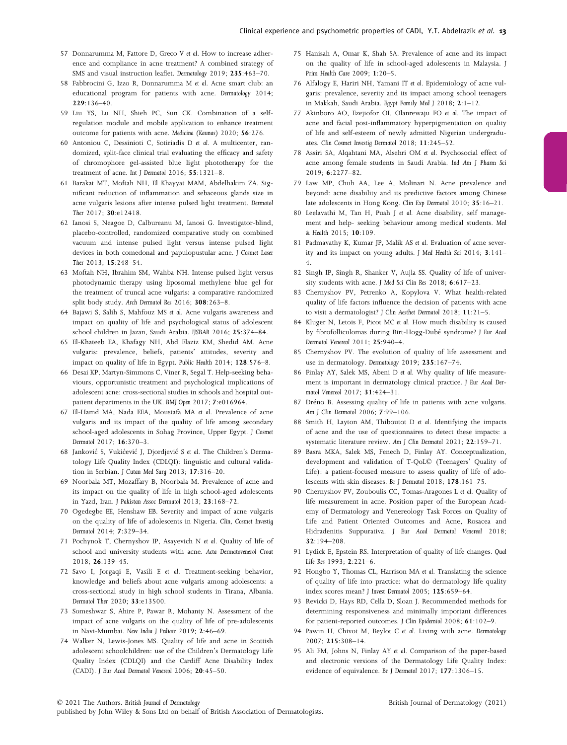- 57 Donnarumma M, Fattore D, Greco V et al. How to increase adherence and compliance in acne treatment? A combined strategy of SMS and visual instruction leaflet. Dermatology 2019; 235:463–70.
- 58 Fabbrocini G, Izzo R, Donnarumma M et al. Acne smart club: an educational program for patients with acne. Dermatology 2014; 229:136–40.
- 59 Liu YS, Lu NH, Shieh PC, Sun CK. Combination of a selfregulation module and mobile application to enhance treatment outcome for patients with acne. Medicina (Kaunas) 2020; 56:276.
- 60 Antoniou C, Dessinioti C, Sotiriadis D et al. A multicenter, randomized, split-face clinical trial evaluating the efficacy and safety of chromophore gel-assisted blue light phototherapy for the treatment of acne. Int J Dermatol 2016; 55:1321–8.
- 61 Barakat MT, Moftah NH, El Khayyat MAM, Abdelhakim ZA. Significant reduction of inflammation and sebaceous glands size in acne vulgaris lesions after intense pulsed light treatment. Dermatol Ther 2017; 30:e12418.
- 62 Ianosi S, Neagoe D, Calbureanu M, Ianosi G. Investigator-blind, placebo-controlled, randomized comparative study on combined vacuum and intense pulsed light versus intense pulsed light devices in both comedonal and papulopustular acne. J Cosmet Laser Ther 2013; 15:248–54.
- 63 Moftah NH, Ibrahim SM, Wahba NH. Intense pulsed light versus photodynamic therapy using liposomal methylene blue gel for the treatment of truncal acne vulgaris: a comparative randomized split body study. Arch Dermatol Res 2016; 308:263–8.
- 64 Bajawi S, Salih S, Mahfouz MS et al. Acne vulgaris awareness and impact on quality of life and psychological status of adolescent school children in Jazan, Saudi Arabia. IJSBAR 2016; 25:374–84.
- 65 El-Khateeb EA, Khafagy NH, Abd Elaziz KM, Shedid AM. Acne vulgaris: prevalence, beliefs, patients' attitudes, severity and impact on quality of life in Egypt. Public Health 2014; 128:576–8.
- 66 Desai KP, Martyn-Simmons C, Viner R, Segal T. Help-seeking behaviours, opportunistic treatment and psychological implications of adolescent acne: cross-sectional studies in schools and hospital outpatient departments in the UK. BMJ Open 2017; 7:e016964.
- 67 El-Hamd MA, Nada EEA, Moustafa MA et al. Prevalence of acne vulgaris and its impact of the quality of life among secondary school-aged adolescents in Sohag Province, Upper Egypt. J Cosmet Dermatol 2017; 16:370–3.
- 68 Jankovic S, Vukicevic J, Djordjevic S et al. The Children's Dermatology Life Quality Index (CDLQI): linguistic and cultural validation in Serbian. J Cutan Med Surg 2013; 17:316–20.
- 69 Noorbala MT, Mozaffary B, Noorbala M. Prevalence of acne and its impact on the quality of life in high school-aged adolescents in Yazd, Iran. J Pakistan Assoc Dermatol 2013; 23:168–72.
- 70 Ogedegbe EE, Henshaw EB. Severity and impact of acne vulgaris on the quality of life of adolescents in Nigeria. Clin, Cosmet Investig Dermatol 2014; 7:329–34.
- 71 Pochynok T, Chernyshov IP, Asayevich N et al. Quality of life of school and university students with acne. Acta Dermatovenerol Croat 2018; 26:139–45.
- 72 Savo I, Jorgaqi E, Vasili E et al. Treatment-seeking behavior, knowledge and beliefs about acne vulgaris among adolescents: a cross-sectional study in high school students in Tirana, Albania. Dermatol Ther 2020; 33:e13500.
- 73 Someshwar S, Ahire P, Pawar R, Mohanty N. Assessment of the impact of acne vulgaris on the quality of life of pre-adolescents in Navi-Mumbai. New India J Pediatr 2019; 2:46–69.
- 74 Walker N, Lewis-Jones MS. Quality of life and acne in Scottish adolescent schoolchildren: use of the Children's Dermatology Life Quality Index (CDLQI) and the Cardiff Acne Disability Index (CADI). J Eur Acad Dermatol Venereol 2006; 20:45–50.
- 75 Hanisah A, Omar K, Shah SA. Prevalence of acne and its impact on the quality of life in school-aged adolescents in Malaysia. J Prim Health Care 2009; 1:20–5.
- 76 Alfalogy E, Hariri NH, Yamani IT et al. Epidemiology of acne vulgaris: prevalence, severity and its impact among school teenagers in Makkah, Saudi Arabia. Egypt Family Med J 2018; <sup>2</sup>:1–12.
- 77 Akinboro AO, Ezejiofor OI, Olanrewaju FO et al. The impact of acne and facial post-inflammatory hyperpigmentation on quality of life and self-esteem of newly admitted Nigerian undergraduates. Clin Cosmet Investig Dermatol 2018; 11:245–52.
- 78 Assiri SA, Alqahtani MA, Alsehri OM et al. Psychosocial effect of acne among female students in Saudi Arabia. Ind Am J Pharm Sci 2019; 6:2277–82.
- 79 Law MP, Chuh AA, Lee A, Molinari N. Acne prevalence and beyond: acne disability and its predictive factors among Chinese late adolescents in Hong Kong. Clin Exp Dermatol 2010; 35:16-21.
- 80 Leelavathi M, Tan H, Puah J et al. Acne disability, self management and help- seeking behaviour among medical students. Med & Health 2015; 10:109.
- 81 Padmavathy K, Kumar JP, Malik AS et al. Evaluation of acne severity and its impact on young adults. J Med Health Sci 2014; 3:141– 4.
- 82 Singh IP, Singh R, Shanker V, Aujla SS. Quality of life of university students with acne. J Med Sci Clin Res 2018; 6:617–23.
- 83 Chernyshov PV, Petrenko A, Kopylova V. What health-related quality of life factors influence the decision of patients with acne to visit a dermatologist? J Clin Aesthet Dermatol 2018; 11:21–5.
- 84 Kluger N, Letois F, Picot MC et al. How much disability is caused by fibrofolliculomas during Birt-Hogg-Dubé syndrome? J Eur Acad Dermatol Venereol 2011; 25:940–4.
- 85 Chernyshov PV. The evolution of quality of life assessment and use in dermatology. Dermatology 2019; 235:167-74.
- 86 Finlay AY, Salek MS, Abeni D et al. Why quality of life measurement is important in dermatology clinical practice. J Eur Acad Dermatol Venereol 2017; 31:424–31.
- 87 Dréno B. Assessing quality of life in patients with acne vulgaris. Am J Clin Dermatol 2006; 7:99–106.
- 88 Smith H, Layton AM, Thiboutot D et al. Identifying the impacts of acne and the use of questionnaires to detect these impacts: a systematic literature review. Am J Clin Dermatol 2021; 22:159–71.
- 89 Basra MKA, Salek MS, Fenech D, Finlay AY. Conceptualization, development and validation of T-QoL© (Teenagers' Quality of Life): a patient-focused measure to assess quality of life of adolescents with skin diseases. Br J Dermatol 2018; 178:161–75.
- 90 Chernyshov PV, Zouboulis CC, Tomas-Aragones L et al. Quality of life measurement in acne. Position paper of the European Academy of Dermatology and Venereology Task Forces on Quality of Life and Patient Oriented Outcomes and Acne, Rosacea and Hidradenitis Suppurativa. J Eur Acad Dermatol Venereol 2018; 32:194–208.
- 91 Lydick E, Epstein RS. Interpretation of quality of life changes. Qual Life Res 1993; 2:221–6.
- 92 Hongbo Y, Thomas CL, Harrison MA et al. Translating the science of quality of life into practice: what do dermatology life quality index scores mean? J Invest Dermatol 2005; 125:659–64.
- 93 Revicki D, Hays RD, Cella D, Sloan J. Recommended methods for determining responsiveness and minimally important differences for patient-reported outcomes. J Clin Epidemiol 2008; 61:102–9.
- 94 Pawin H, Chivot M, Beylot C et al. Living with acne. Dermatology 2007; 215:308–14.
- 95 Ali FM, Johns N, Finlay AY et al. Comparison of the paper-based and electronic versions of the Dermatology Life Quality Index: evidence of equivalence. Br J Dermatol 2017; 177:1306–15.